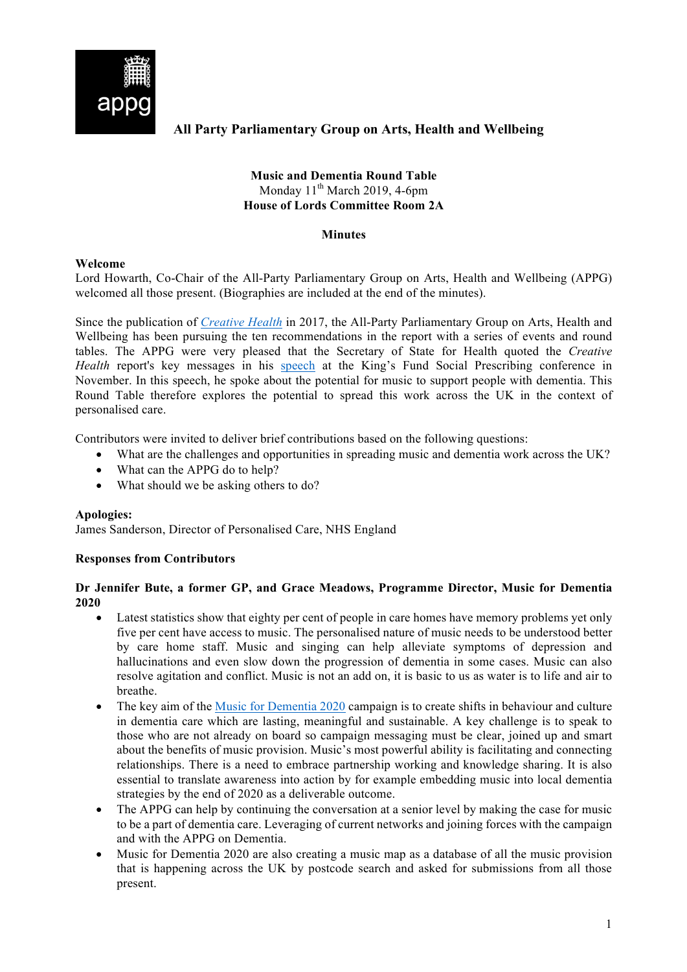

# **All Party Parliamentary Group on Arts, Health and Wellbeing**

## **Music and Dementia Round Table** Monday  $11<sup>th</sup>$  March 2019, 4-6pm **House of Lords Committee Room 2A**

### **Minutes**

#### **Welcome**

Lord Howarth, Co-Chair of the All-Party Parliamentary Group on Arts, Health and Wellbeing (APPG) welcomed all those present. (Biographies are included at the end of the minutes).

Since the publication of *Creative Health* in 2017, the All-Party Parliamentary Group on Arts, Health and Wellbeing has been pursuing the ten recommendations in the report with a series of events and round tables. The APPG were very pleased that the Secretary of State for Health quoted the *Creative Health* report's key messages in his speech at the King's Fund Social Prescribing conference in November. In this speech, he spoke about the potential for music to support people with dementia. This Round Table therefore explores the potential to spread this work across the UK in the context of personalised care.

Contributors were invited to deliver brief contributions based on the following questions:

- What are the challenges and opportunities in spreading music and dementia work across the UK?
- What can the APPG do to help?
- What should we be asking others to do?

#### **Apologies:**

James Sanderson, Director of Personalised Care, NHS England

# **Responses from Contributors**

### **Dr Jennifer Bute, a former GP, and Grace Meadows, Programme Director, Music for Dementia 2020**

- Latest statistics show that eighty per cent of people in care homes have memory problems yet only five per cent have access to music. The personalised nature of music needs to be understood better by care home staff. Music and singing can help alleviate symptoms of depression and hallucinations and even slow down the progression of dementia in some cases. Music can also resolve agitation and conflict. Music is not an add on, it is basic to us as water is to life and air to breathe.
- The key aim of the Music for Dementia 2020 campaign is to create shifts in behaviour and culture in dementia care which are lasting, meaningful and sustainable. A key challenge is to speak to those who are not already on board so campaign messaging must be clear, joined up and smart about the benefits of music provision. Music's most powerful ability is facilitating and connecting relationships. There is a need to embrace partnership working and knowledge sharing. It is also essential to translate awareness into action by for example embedding music into local dementia strategies by the end of 2020 as a deliverable outcome.
- The APPG can help by continuing the conversation at a senior level by making the case for music to be a part of dementia care. Leveraging of current networks and joining forces with the campaign and with the APPG on Dementia.
- Music for Dementia 2020 are also creating a music map as a database of all the music provision that is happening across the UK by postcode search and asked for submissions from all those present.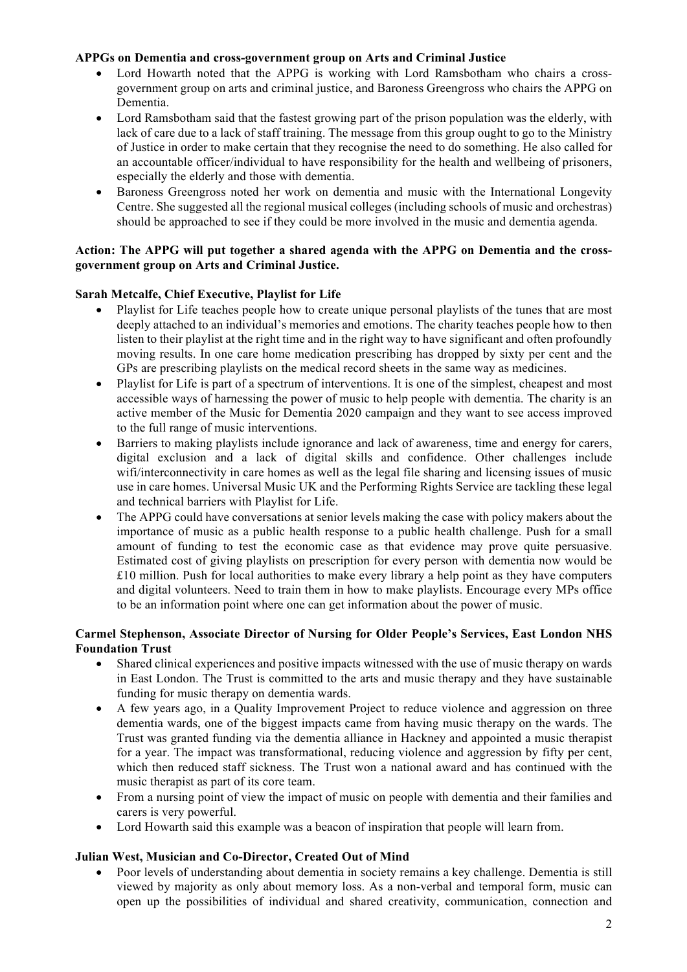## **APPGs on Dementia and cross-government group on Arts and Criminal Justice**

- Lord Howarth noted that the APPG is working with Lord Ramsbotham who chairs a crossgovernment group on arts and criminal justice, and Baroness Greengross who chairs the APPG on Dementia.
- Lord Ramsbotham said that the fastest growing part of the prison population was the elderly, with lack of care due to a lack of staff training. The message from this group ought to go to the Ministry of Justice in order to make certain that they recognise the need to do something. He also called for an accountable officer/individual to have responsibility for the health and wellbeing of prisoners, especially the elderly and those with dementia.
- Baroness Greengross noted her work on dementia and music with the International Longevity Centre. She suggested all the regional musical colleges (including schools of music and orchestras) should be approached to see if they could be more involved in the music and dementia agenda.

### **Action: The APPG will put together a shared agenda with the APPG on Dementia and the crossgovernment group on Arts and Criminal Justice.**

### **Sarah Metcalfe, Chief Executive, Playlist for Life**

- Playlist for Life teaches people how to create unique personal playlists of the tunes that are most deeply attached to an individual's memories and emotions. The charity teaches people how to then listen to their playlist at the right time and in the right way to have significant and often profoundly moving results. In one care home medication prescribing has dropped by sixty per cent and the GPs are prescribing playlists on the medical record sheets in the same way as medicines.
- Playlist for Life is part of a spectrum of interventions. It is one of the simplest, cheapest and most accessible ways of harnessing the power of music to help people with dementia. The charity is an active member of the Music for Dementia 2020 campaign and they want to see access improved to the full range of music interventions.
- Barriers to making playlists include ignorance and lack of awareness, time and energy for carers, digital exclusion and a lack of digital skills and confidence. Other challenges include wifi/interconnectivity in care homes as well as the legal file sharing and licensing issues of music use in care homes. Universal Music UK and the Performing Rights Service are tackling these legal and technical barriers with Playlist for Life.
- The APPG could have conversations at senior levels making the case with policy makers about the importance of music as a public health response to a public health challenge. Push for a small amount of funding to test the economic case as that evidence may prove quite persuasive. Estimated cost of giving playlists on prescription for every person with dementia now would be £10 million. Push for local authorities to make every library a help point as they have computers and digital volunteers. Need to train them in how to make playlists. Encourage every MPs office to be an information point where one can get information about the power of music.

# **Carmel Stephenson, Associate Director of Nursing for Older People's Services, East London NHS Foundation Trust**

- Shared clinical experiences and positive impacts witnessed with the use of music therapy on wards in East London. The Trust is committed to the arts and music therapy and they have sustainable funding for music therapy on dementia wards.
- A few years ago, in a Quality Improvement Project to reduce violence and aggression on three dementia wards, one of the biggest impacts came from having music therapy on the wards. The Trust was granted funding via the dementia alliance in Hackney and appointed a music therapist for a year. The impact was transformational, reducing violence and aggression by fifty per cent, which then reduced staff sickness. The Trust won a national award and has continued with the music therapist as part of its core team.
- From a nursing point of view the impact of music on people with dementia and their families and carers is very powerful.
- Lord Howarth said this example was a beacon of inspiration that people will learn from.

# **Julian West, Musician and Co-Director, Created Out of Mind**

• Poor levels of understanding about dementia in society remains a key challenge. Dementia is still viewed by majority as only about memory loss. As a non-verbal and temporal form, music can open up the possibilities of individual and shared creativity, communication, connection and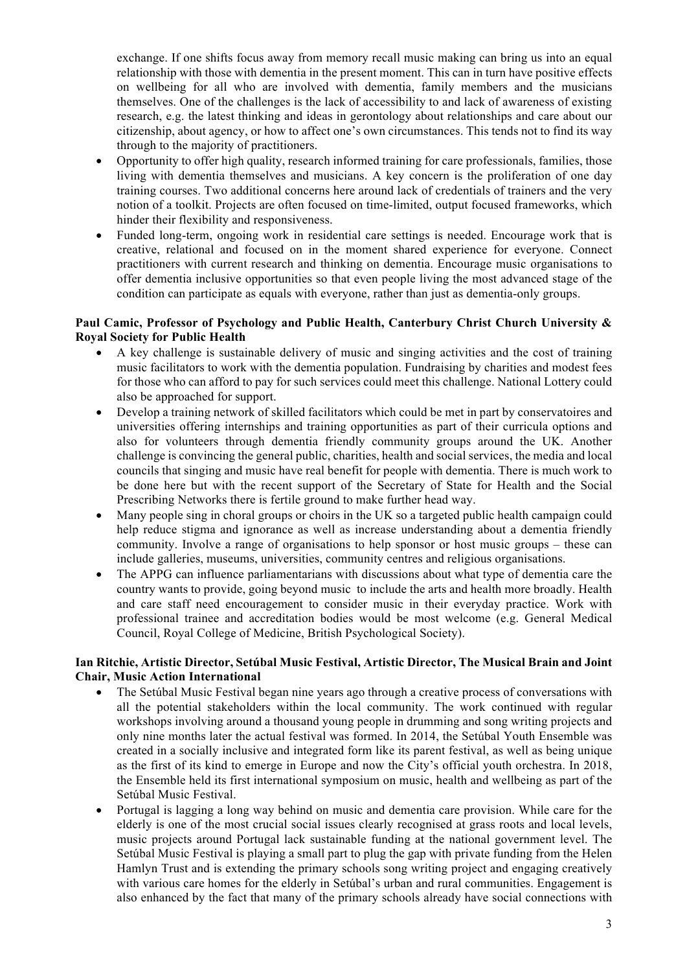exchange. If one shifts focus away from memory recall music making can bring us into an equal relationship with those with dementia in the present moment. This can in turn have positive effects on wellbeing for all who are involved with dementia, family members and the musicians themselves. One of the challenges is the lack of accessibility to and lack of awareness of existing research, e.g. the latest thinking and ideas in gerontology about relationships and care about our citizenship, about agency, or how to affect one's own circumstances. This tends not to find its way through to the majority of practitioners.

- Opportunity to offer high quality, research informed training for care professionals, families, those living with dementia themselves and musicians. A key concern is the proliferation of one day training courses. Two additional concerns here around lack of credentials of trainers and the very notion of a toolkit. Projects are often focused on time-limited, output focused frameworks, which hinder their flexibility and responsiveness.
- Funded long-term, ongoing work in residential care settings is needed. Encourage work that is creative, relational and focused on in the moment shared experience for everyone. Connect practitioners with current research and thinking on dementia. Encourage music organisations to offer dementia inclusive opportunities so that even people living the most advanced stage of the condition can participate as equals with everyone, rather than just as dementia-only groups.

## **Paul Camic, Professor of Psychology and Public Health, Canterbury Christ Church University & Royal Society for Public Health**

- A key challenge is sustainable delivery of music and singing activities and the cost of training music facilitators to work with the dementia population. Fundraising by charities and modest fees for those who can afford to pay for such services could meet this challenge. National Lottery could also be approached for support.
- Develop a training network of skilled facilitators which could be met in part by conservatoires and universities offering internships and training opportunities as part of their curricula options and also for volunteers through dementia friendly community groups around the UK. Another challenge is convincing the general public, charities, health and social services, the media and local councils that singing and music have real benefit for people with dementia. There is much work to be done here but with the recent support of the Secretary of State for Health and the Social Prescribing Networks there is fertile ground to make further head way.
- Many people sing in choral groups or choirs in the UK so a targeted public health campaign could help reduce stigma and ignorance as well as increase understanding about a dementia friendly community. Involve a range of organisations to help sponsor or host music groups – these can include galleries, museums, universities, community centres and religious organisations.
- The APPG can influence parliamentarians with discussions about what type of dementia care the country wants to provide, going beyond music to include the arts and health more broadly. Health and care staff need encouragement to consider music in their everyday practice. Work with professional trainee and accreditation bodies would be most welcome (e.g. General Medical Council, Royal College of Medicine, British Psychological Society).

### **Ian Ritchie, Artistic Director, Setúbal Music Festival, Artistic Director, The Musical Brain and Joint Chair, Music Action International**

- The Setúbal Music Festival began nine years ago through a creative process of conversations with all the potential stakeholders within the local community. The work continued with regular workshops involving around a thousand young people in drumming and song writing projects and only nine months later the actual festival was formed. In 2014, the Setúbal Youth Ensemble was created in a socially inclusive and integrated form like its parent festival, as well as being unique as the first of its kind to emerge in Europe and now the City's official youth orchestra. In 2018, the Ensemble held its first international symposium on music, health and wellbeing as part of the Setúbal Music Festival.
- Portugal is lagging a long way behind on music and dementia care provision. While care for the elderly is one of the most crucial social issues clearly recognised at grass roots and local levels, music projects around Portugal lack sustainable funding at the national government level. The Setúbal Music Festival is playing a small part to plug the gap with private funding from the Helen Hamlyn Trust and is extending the primary schools song writing project and engaging creatively with various care homes for the elderly in Setúbal's urban and rural communities. Engagement is also enhanced by the fact that many of the primary schools already have social connections with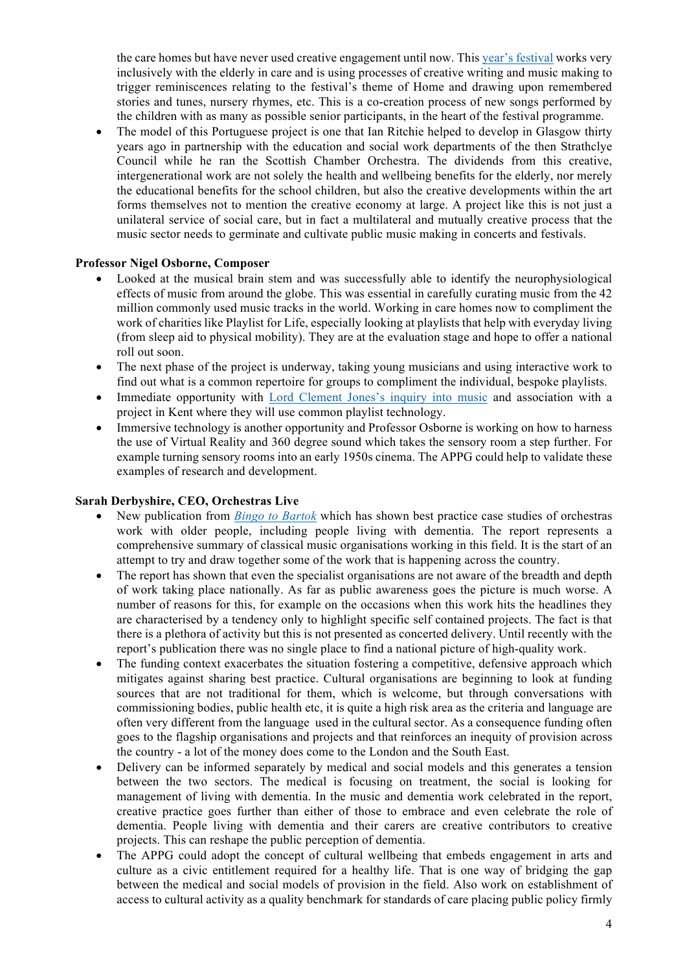the care homes but have never used creative engagement until now. This year's festival works very inclusively with the elderly in care and is using processes of creative writing and music making to trigger reminiscences relating to the festival's theme of Home and drawing upon remembered stories and tunes, nursery rhymes, etc. This is a co-creation process of new songs performed by the children with as many as possible senior participants, in the heart of the festival programme.

• The model of this Portuguese project is one that Ian Ritchie helped to develop in Glasgow thirty years ago in partnership with the education and social work departments of the then Strathclye Council while he ran the Scottish Chamber Orchestra. The dividends from this creative, intergenerational work are not solely the health and wellbeing benefits for the elderly, nor merely the educational benefits for the school children, but also the creative developments within the art forms themselves not to mention the creative economy at large. A project like this is not just a unilateral service of social care, but in fact a multilateral and mutually creative process that the music sector needs to germinate and cultivate public music making in concerts and festivals.

### **Professor Nigel Osborne, Composer**

- Looked at the musical brain stem and was successfully able to identify the neurophysiological effects of music from around the globe. This was essential in carefully curating music from the 42 million commonly used music tracks in the world. Working in care homes now to compliment the work of charities like Playlist for Life, especially looking at playlists that help with everyday living (from sleep aid to physical mobility). They are at the evaluation stage and hope to offer a national roll out soon.
- The next phase of the project is underway, taking young musicians and using interactive work to find out what is a common repertoire for groups to compliment the individual, bespoke playlists.
- Immediate opportunity with Lord Clement Jones's inquiry into music and association with a project in Kent where they will use common playlist technology.
- Immersive technology is another opportunity and Professor Osborne is working on how to harness the use of Virtual Reality and 360 degree sound which takes the sensory room a step further. For example turning sensory rooms into an early 1950s cinema. The APPG could help to validate these examples of research and development.

### **Sarah Derbyshire, CEO, Orchestras Live**

- New publication from *Bingo to Bartok* which has shown best practice case studies of orchestras work with older people, including people living with dementia. The report represents a comprehensive summary of classical music organisations working in this field. It is the start of an attempt to try and draw together some of the work that is happening across the country.
- The report has shown that even the specialist organisations are not aware of the breadth and depth of work taking place nationally. As far as public awareness goes the picture is much worse. A number of reasons for this, for example on the occasions when this work hits the headlines they are characterised by a tendency only to highlight specific self contained projects. The fact is that there is a plethora of activity but this is not presented as concerted delivery. Until recently with the report's publication there was no single place to find a national picture of high-quality work.
- The funding context exacerbates the situation fostering a competitive, defensive approach which mitigates against sharing best practice. Cultural organisations are beginning to look at funding sources that are not traditional for them, which is welcome, but through conversations with commissioning bodies, public health etc, it is quite a high risk area as the criteria and language are often very different from the language used in the cultural sector. As a consequence funding often goes to the flagship organisations and projects and that reinforces an inequity of provision across the country - a lot of the money does come to the London and the South East.
- Delivery can be informed separately by medical and social models and this generates a tension between the two sectors. The medical is focusing on treatment, the social is looking for management of living with dementia. In the music and dementia work celebrated in the report, creative practice goes further than either of those to embrace and even celebrate the role of dementia. People living with dementia and their carers are creative contributors to creative projects. This can reshape the public perception of dementia.
- The APPG could adopt the concept of cultural wellbeing that embeds engagement in arts and culture as a civic entitlement required for a healthy life. That is one way of bridging the gap between the medical and social models of provision in the field. Also work on establishment of access to cultural activity as a quality benchmark for standards of care placing public policy firmly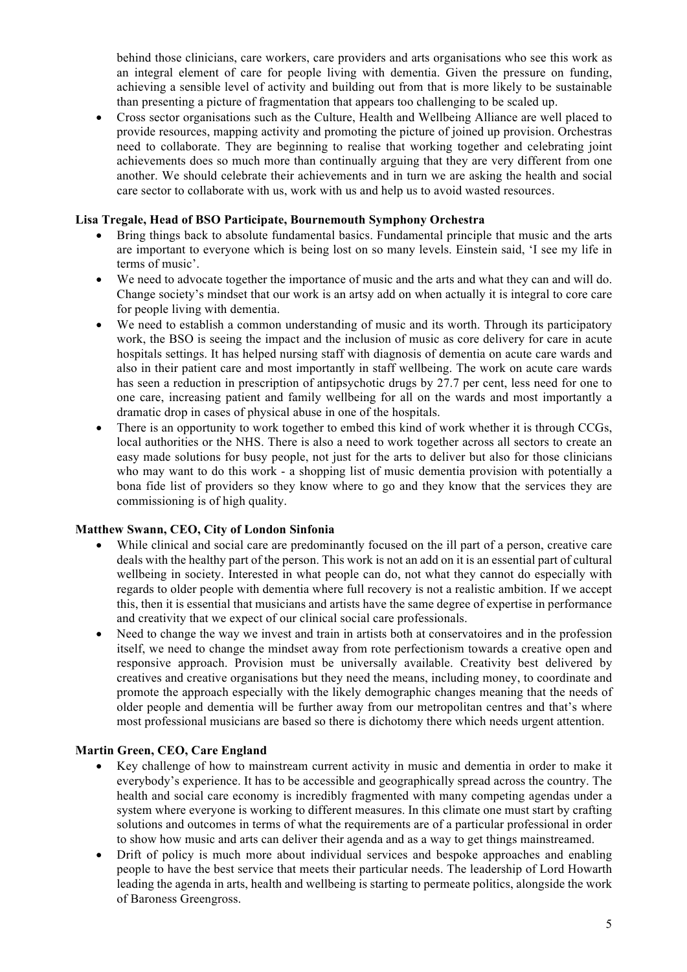behind those clinicians, care workers, care providers and arts organisations who see this work as an integral element of care for people living with dementia. Given the pressure on funding, achieving a sensible level of activity and building out from that is more likely to be sustainable than presenting a picture of fragmentation that appears too challenging to be scaled up.

• Cross sector organisations such as the Culture, Health and Wellbeing Alliance are well placed to provide resources, mapping activity and promoting the picture of joined up provision. Orchestras need to collaborate. They are beginning to realise that working together and celebrating joint achievements does so much more than continually arguing that they are very different from one another. We should celebrate their achievements and in turn we are asking the health and social care sector to collaborate with us, work with us and help us to avoid wasted resources.

### **Lisa Tregale, Head of BSO Participate, Bournemouth Symphony Orchestra**

- Bring things back to absolute fundamental basics. Fundamental principle that music and the arts are important to everyone which is being lost on so many levels. Einstein said, 'I see my life in terms of music'.
- We need to advocate together the importance of music and the arts and what they can and will do. Change society's mindset that our work is an artsy add on when actually it is integral to core care for people living with dementia.
- We need to establish a common understanding of music and its worth. Through its participatory work, the BSO is seeing the impact and the inclusion of music as core delivery for care in acute hospitals settings. It has helped nursing staff with diagnosis of dementia on acute care wards and also in their patient care and most importantly in staff wellbeing. The work on acute care wards has seen a reduction in prescription of antipsychotic drugs by 27.7 per cent, less need for one to one care, increasing patient and family wellbeing for all on the wards and most importantly a dramatic drop in cases of physical abuse in one of the hospitals.
- There is an opportunity to work together to embed this kind of work whether it is through CCGs. local authorities or the NHS. There is also a need to work together across all sectors to create an easy made solutions for busy people, not just for the arts to deliver but also for those clinicians who may want to do this work - a shopping list of music dementia provision with potentially a bona fide list of providers so they know where to go and they know that the services they are commissioning is of high quality.

### **Matthew Swann, CEO, City of London Sinfonia**

- While clinical and social care are predominantly focused on the ill part of a person, creative care deals with the healthy part of the person. This work is not an add on it is an essential part of cultural wellbeing in society. Interested in what people can do, not what they cannot do especially with regards to older people with dementia where full recovery is not a realistic ambition. If we accept this, then it is essential that musicians and artists have the same degree of expertise in performance and creativity that we expect of our clinical social care professionals.
- Need to change the way we invest and train in artists both at conservatoires and in the profession itself, we need to change the mindset away from rote perfectionism towards a creative open and responsive approach. Provision must be universally available. Creativity best delivered by creatives and creative organisations but they need the means, including money, to coordinate and promote the approach especially with the likely demographic changes meaning that the needs of older people and dementia will be further away from our metropolitan centres and that's where most professional musicians are based so there is dichotomy there which needs urgent attention.

#### **Martin Green, CEO, Care England**

- Key challenge of how to mainstream current activity in music and dementia in order to make it everybody's experience. It has to be accessible and geographically spread across the country. The health and social care economy is incredibly fragmented with many competing agendas under a system where everyone is working to different measures. In this climate one must start by crafting solutions and outcomes in terms of what the requirements are of a particular professional in order to show how music and arts can deliver their agenda and as a way to get things mainstreamed.
- Drift of policy is much more about individual services and bespoke approaches and enabling people to have the best service that meets their particular needs. The leadership of Lord Howarth leading the agenda in arts, health and wellbeing is starting to permeate politics, alongside the work of Baroness Greengross.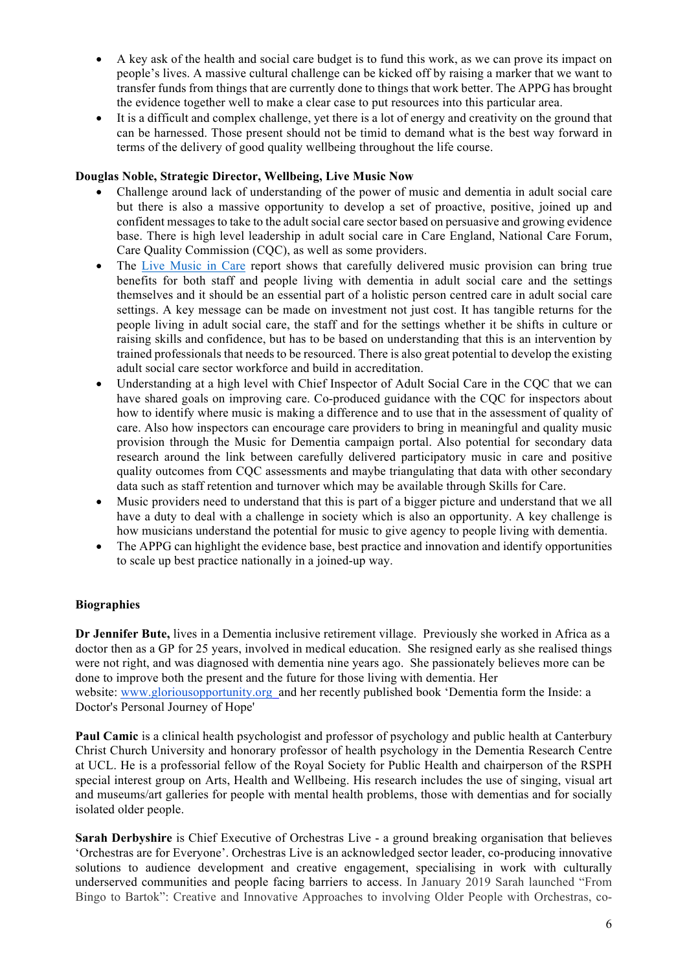- A key ask of the health and social care budget is to fund this work, as we can prove its impact on people's lives. A massive cultural challenge can be kicked off by raising a marker that we want to transfer funds from things that are currently done to things that work better. The APPG has brought the evidence together well to make a clear case to put resources into this particular area.
- It is a difficult and complex challenge, yet there is a lot of energy and creativity on the ground that can be harnessed. Those present should not be timid to demand what is the best way forward in terms of the delivery of good quality wellbeing throughout the life course.

### **Douglas Noble, Strategic Director, Wellbeing, Live Music Now**

- Challenge around lack of understanding of the power of music and dementia in adult social care but there is also a massive opportunity to develop a set of proactive, positive, joined up and confident messages to take to the adult social care sector based on persuasive and growing evidence base. There is high level leadership in adult social care in Care England, National Care Forum, Care Quality Commission (CQC), as well as some providers.
- The Live Music in Care report shows that carefully delivered music provision can bring true benefits for both staff and people living with dementia in adult social care and the settings themselves and it should be an essential part of a holistic person centred care in adult social care settings. A key message can be made on investment not just cost. It has tangible returns for the people living in adult social care, the staff and for the settings whether it be shifts in culture or raising skills and confidence, but has to be based on understanding that this is an intervention by trained professionals that needs to be resourced. There is also great potential to develop the existing adult social care sector workforce and build in accreditation.
- Understanding at a high level with Chief Inspector of Adult Social Care in the CQC that we can have shared goals on improving care. Co-produced guidance with the CQC for inspectors about how to identify where music is making a difference and to use that in the assessment of quality of care. Also how inspectors can encourage care providers to bring in meaningful and quality music provision through the Music for Dementia campaign portal. Also potential for secondary data research around the link between carefully delivered participatory music in care and positive quality outcomes from CQC assessments and maybe triangulating that data with other secondary data such as staff retention and turnover which may be available through Skills for Care.
- Music providers need to understand that this is part of a bigger picture and understand that we all have a duty to deal with a challenge in society which is also an opportunity. A key challenge is how musicians understand the potential for music to give agency to people living with dementia.
- The APPG can highlight the evidence base, best practice and innovation and identify opportunities to scale up best practice nationally in a joined-up way.

#### **Biographies**

**Dr Jennifer Bute,** lives in a Dementia inclusive retirement village. Previously she worked in Africa as a doctor then as a GP for 25 years, involved in medical education. She resigned early as she realised things were not right, and was diagnosed with dementia nine years ago. She passionately believes more can be done to improve both the present and the future for those living with dementia. Her website: www.gloriousopportunity.org and her recently published book 'Dementia form the Inside: a Doctor's Personal Journey of Hope'

**Paul Camic** is a clinical health psychologist and professor of psychology and public health at Canterbury Christ Church University and honorary professor of health psychology in the Dementia Research Centre at UCL. He is a professorial fellow of the Royal Society for Public Health and chairperson of the RSPH special interest group on Arts, Health and Wellbeing. His research includes the use of singing, visual art and museums/art galleries for people with mental health problems, those with dementias and for socially isolated older people.

**Sarah Derbyshire** is Chief Executive of Orchestras Live - a ground breaking organisation that believes 'Orchestras are for Everyone'. Orchestras Live is an acknowledged sector leader, co-producing innovative solutions to audience development and creative engagement, specialising in work with culturally underserved communities and people facing barriers to access. In January 2019 Sarah launched "From Bingo to Bartok": Creative and Innovative Approaches to involving Older People with Orchestras, co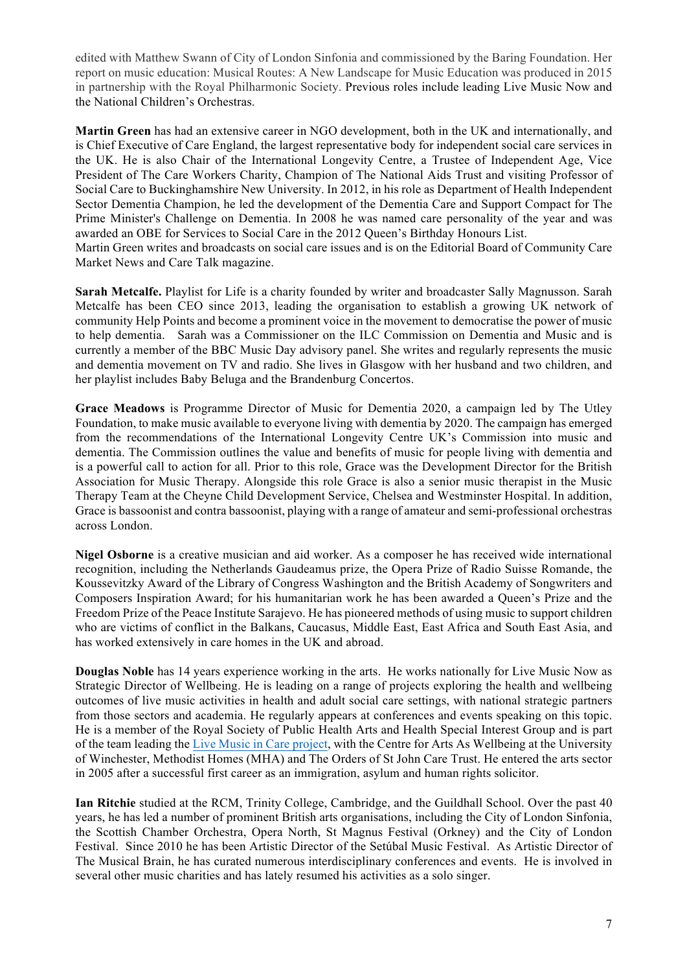edited with Matthew Swann of City of London Sinfonia and commissioned by the Baring Foundation. Her report on music education: Musical Routes: A New Landscape for Music Education was produced in 2015 in partnership with the Royal Philharmonic Society. Previous roles include leading Live Music Now and the National Children's Orchestras.

**Martin Green** has had an extensive career in NGO development, both in the UK and internationally, and is Chief Executive of Care England, the largest representative body for independent social care services in the UK. He is also Chair of the International Longevity Centre, a Trustee of Independent Age, Vice President of The Care Workers Charity, Champion of The National Aids Trust and visiting Professor of Social Care to Buckinghamshire New University. In 2012, in his role as Department of Health Independent Sector Dementia Champion, he led the development of the Dementia Care and Support Compact for The Prime Minister's Challenge on Dementia. In 2008 he was named care personality of the year and was awarded an OBE for Services to Social Care in the 2012 Queen's Birthday Honours List. Martin Green writes and broadcasts on social care issues and is on the Editorial Board of Community Care Market News and Care Talk magazine.

**Sarah Metcalfe.** Playlist for Life is a charity founded by writer and broadcaster Sally Magnusson. Sarah Metcalfe has been CEO since 2013, leading the organisation to establish a growing UK network of community Help Points and become a prominent voice in the movement to democratise the power of music to help dementia. Sarah was a Commissioner on the ILC Commission on Dementia and Music and is currently a member of the BBC Music Day advisory panel. She writes and regularly represents the music and dementia movement on TV and radio. She lives in Glasgow with her husband and two children, and her playlist includes Baby Beluga and the Brandenburg Concertos.

**Grace Meadows** is Programme Director of Music for Dementia 2020, a campaign led by The Utley Foundation, to make music available to everyone living with dementia by 2020. The campaign has emerged from the recommendations of the International Longevity Centre UK's Commission into music and dementia. The Commission outlines the value and benefits of music for people living with dementia and is a powerful call to action for all. Prior to this role, Grace was the Development Director for the British Association for Music Therapy. Alongside this role Grace is also a senior music therapist in the Music Therapy Team at the Cheyne Child Development Service, Chelsea and Westminster Hospital. In addition, Grace is bassoonist and contra bassoonist, playing with a range of amateur and semi-professional orchestras across London.

**Nigel Osborne** is a creative musician and aid worker. As a composer he has received wide international recognition, including the Netherlands Gaudeamus prize, the Opera Prize of Radio Suisse Romande, the Koussevitzky Award of the Library of Congress Washington and the British Academy of Songwriters and Composers Inspiration Award; for his humanitarian work he has been awarded a Queen's Prize and the Freedom Prize of the Peace Institute Sarajevo. He has pioneered methods of using music to support children who are victims of conflict in the Balkans, Caucasus, Middle East, East Africa and South East Asia, and has worked extensively in care homes in the UK and abroad.

**Douglas Noble** has 14 years experience working in the arts. He works nationally for Live Music Now as Strategic Director of Wellbeing. He is leading on a range of projects exploring the health and wellbeing outcomes of live music activities in health and adult social care settings, with national strategic partners from those sectors and academia. He regularly appears at conferences and events speaking on this topic. He is a member of the Royal Society of Public Health Arts and Health Special Interest Group and is part of the team leading the Live Music in Care project, with the Centre for Arts As Wellbeing at the University of Winchester, Methodist Homes (MHA) and The Orders of St John Care Trust. He entered the arts sector in 2005 after a successful first career as an immigration, asylum and human rights solicitor.

**Ian Ritchie** studied at the RCM, Trinity College, Cambridge, and the Guildhall School. Over the past 40 years, he has led a number of prominent British arts organisations, including the City of London Sinfonia, the Scottish Chamber Orchestra, Opera North, St Magnus Festival (Orkney) and the City of London Festival. Since 2010 he has been Artistic Director of the Setúbal Music Festival. As Artistic Director of The Musical Brain, he has curated numerous interdisciplinary conferences and events. He is involved in several other music charities and has lately resumed his activities as a solo singer.